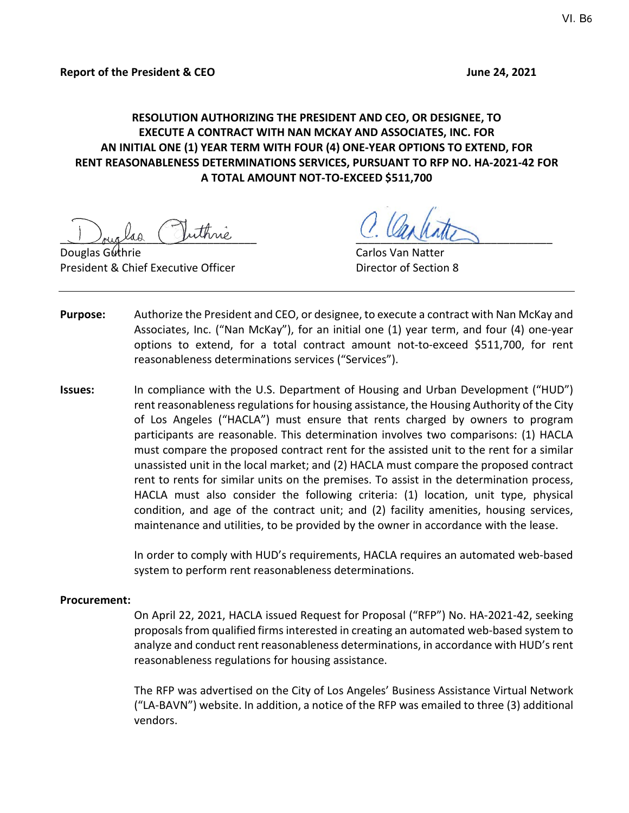# **RESOLUTION AUTHORIZING THE PRESIDENT AND CEO, OR DESIGNEE, TO EXECUTE A CONTRACT WITH NAN MCKAY AND ASSOCIATES, INC. FOR AN INITIAL ONE (1) YEAR TERM WITH FOUR (4) ONE-YEAR OPTIONS TO EXTEND, FOR RENT REASONABLENESS DETERMINATIONS SERVICES, PURSUANT TO RFP NO. HA-2021-42 FOR A TOTAL AMOUNT NOT-TO-EXCEED \$511,700**

Juicilia Guinne C. Carning

Douglas Guthrie Carlos Van Natter President & Chief Executive Officer **Director of Section 8** 

- **Purpose:** Authorize the President and CEO, or designee, to execute a contract with Nan McKay and Associates, Inc. ("Nan McKay"), for an initial one (1) year term, and four (4) one-year options to extend, for a total contract amount not-to-exceed \$511,700, for rent reasonableness determinations services ("Services").
- **Issues:** In compliance with the U.S. Department of Housing and Urban Development ("HUD") rent reasonableness regulations for housing assistance, the Housing Authority of the City of Los Angeles ("HACLA") must ensure that rents charged by owners to program participants are reasonable. This determination involves two comparisons: (1) HACLA must compare the proposed contract rent for the assisted unit to the rent for a similar unassisted unit in the local market; and (2) HACLA must compare the proposed contract rent to rents for similar units on the premises. To assist in the determination process, HACLA must also consider the following criteria: (1) location, unit type, physical condition, and age of the contract unit; and (2) facility amenities, housing services, maintenance and utilities, to be provided by the owner in accordance with the lease.

In order to comply with HUD's requirements, HACLA requires an automated web-based system to perform rent reasonableness determinations.

#### **Procurement:**

On April 22, 2021, HACLA issued Request for Proposal ("RFP") No. HA-2021-42, seeking proposals from qualified firms interested in creating an automated web-based system to analyze and conduct rent reasonableness determinations, in accordance with HUD's rent reasonableness regulations for housing assistance.

The RFP was advertised on the City of Los Angeles' Business Assistance Virtual Network ("LA-BAVN") website. In addition, a notice of the RFP was emailed to three (3) additional vendors.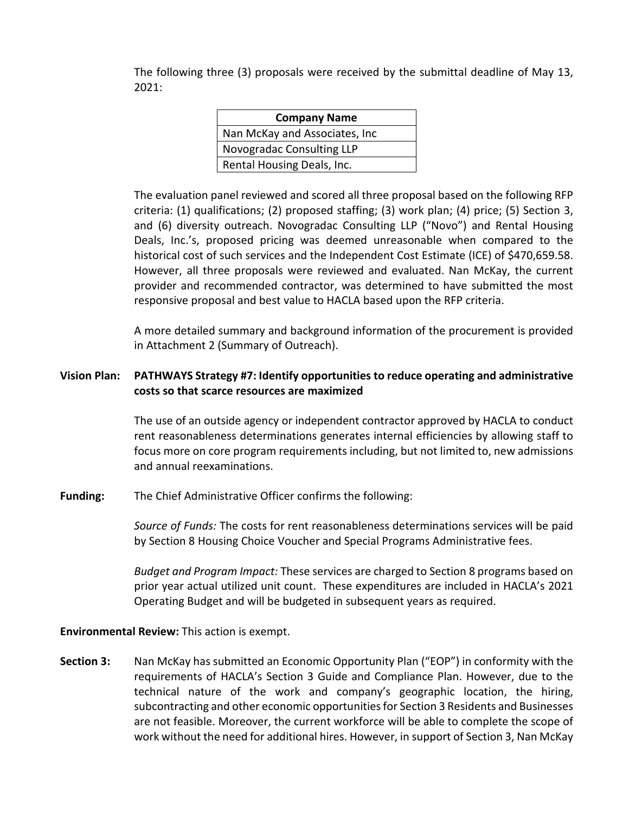The following three (3) proposals were received by the submittal deadline of May 13, 2021:

| <b>Company Name</b>            |
|--------------------------------|
| Nan McKay and Associates, Inc. |
| Novogradac Consulting LLP      |
| Rental Housing Deals, Inc.     |

The evaluation panel reviewed and scored all three proposal based on the following RFP criteria: (1) qualifications; (2) proposed staffing; (3) work plan; (4) price; (5) Section 3, and (6) diversity outreach. Novogradac Consulting LLP ("Novo") and Rental Housing Deals, Inc.'s, proposed pricing was deemed unreasonable when compared to the historical cost of such services and the Independent Cost Estimate (ICE) of \$470,659.58. However, all three proposals were reviewed and evaluated. Nan McKay, the current provider and recommended contractor, was determined to have submitted the most responsive proposal and best value to HACLA based upon the RFP criteria.

A more detailed summary and background information of the procurement is provided in Attachment 2 (Summary of Outreach).

# **Vision Plan: PATHWAYS Strategy #7: Identify opportunities to reduce operating and administrative costs so that scarce resources are maximized**

The use of an outside agency or independent contractor approved by HACLA to conduct rent reasonableness determinations generates internal efficiencies by allowing staff to focus more on core program requirements including, but not limited to, new admissions and annual reexaminations.

**Funding:** The Chief Administrative Officer confirms the following:

*Source of Funds:* The costs for rent reasonableness determinations services will be paid by Section 8 Housing Choice Voucher and Special Programs Administrative fees.

*Budget and Program Impact:* These services are charged to Section 8 programs based on prior year actual utilized unit count. These expenditures are included in HACLA's 2021 Operating Budget and will be budgeted in subsequent years as required.

**Environmental Review:** This action is exempt.

**Section 3:** Nan McKay has submitted an Economic Opportunity Plan ("EOP") in conformity with the requirements of HACLA's Section 3 Guide and Compliance Plan. However, due to the technical nature of the work and company's geographic location, the hiring, subcontracting and other economic opportunities for Section 3 Residents and Businesses are not feasible. Moreover, the current workforce will be able to complete the scope of work without the need for additional hires. However, in support of Section 3, Nan McKay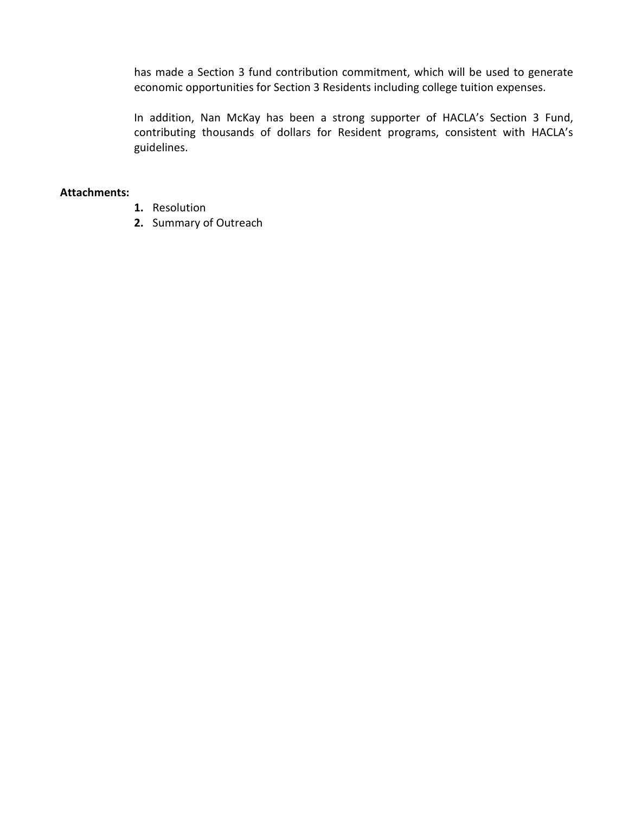has made a Section 3 fund contribution commitment, which will be used to generate economic opportunities for Section 3 Residents including college tuition expenses.

In addition, Nan McKay has been a strong supporter of HACLA's Section 3 Fund, contributing thousands of dollars for Resident programs, consistent with HACLA's guidelines.

#### **Attachments:**

- **1.** Resolution
- **2.** Summary of Outreach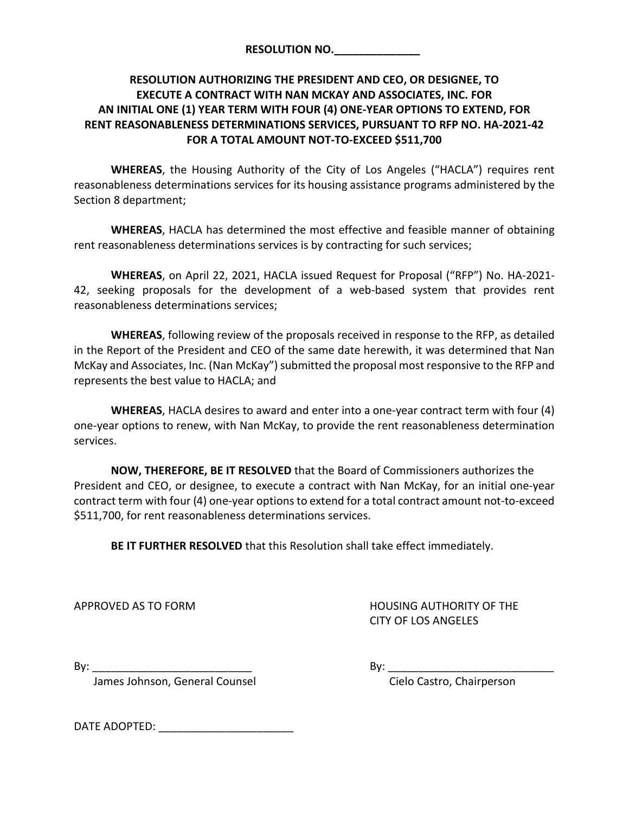| <b>RESOLUTION NO.</b> |  |  |
|-----------------------|--|--|
|                       |  |  |

# **RESOLUTION AUTHORIZING THE PRESIDENT AND CEO, OR DESIGNEE, TO EXECUTE A CONTRACT WITH NAN MCKAY AND ASSOCIATES, INC. FOR AN INITIAL ONE (1) YEAR TERM WITH FOUR (4) ONE-YEAR OPTIONS TO EXTEND, FOR RENT REASONABLENESS DETERMINATIONS SERVICES, PURSUANT TO RFP NO. HA-2021-42 FOR A TOTAL AMOUNT NOT-TO-EXCEED \$511,700**

**WHEREAS**, the Housing Authority of the City of Los Angeles ("HACLA") requires rent reasonableness determinations services for its housing assistance programs administered by the Section 8 department;

**WHEREAS**, HACLA has determined the most effective and feasible manner of obtaining rent reasonableness determinations services is by contracting for such services;

**WHEREAS**, on April 22, 2021, HACLA issued Request for Proposal ("RFP") No. HA-2021- 42, seeking proposals for the development of a web-based system that provides rent reasonableness determinations services;

**WHEREAS**, following review of the proposals received in response to the RFP, as detailed in the Report of the President and CEO of the same date herewith, it was determined that Nan McKay and Associates, Inc. (Nan McKay") submitted the proposal most responsive to the RFP and represents the best value to HACLA; and

**WHEREAS**, HACLA desires to award and enter into a one-year contract term with four (4) one-year options to renew, with Nan McKay, to provide the rent reasonableness determination services.

**NOW, THEREFORE, BE IT RESOLVED** that the Board of Commissioners authorizes the President and CEO, or designee, to execute a contract with Nan McKay, for an initial one-year contract term with four (4) one-year options to extend for a total contract amount not-to-exceed \$511,700, for rent reasonableness determinations services.

**BE IT FURTHER RESOLVED** that this Resolution shall take effect immediately.

APPROVED AS TO FORM HOUSING AUTHORITY OF THE CITY OF LOS ANGELES

By:  $\Box$ 

James Johnson, General Counsel Comes Cielo Castro, Chairperson

DATE ADOPTED:  $\blacksquare$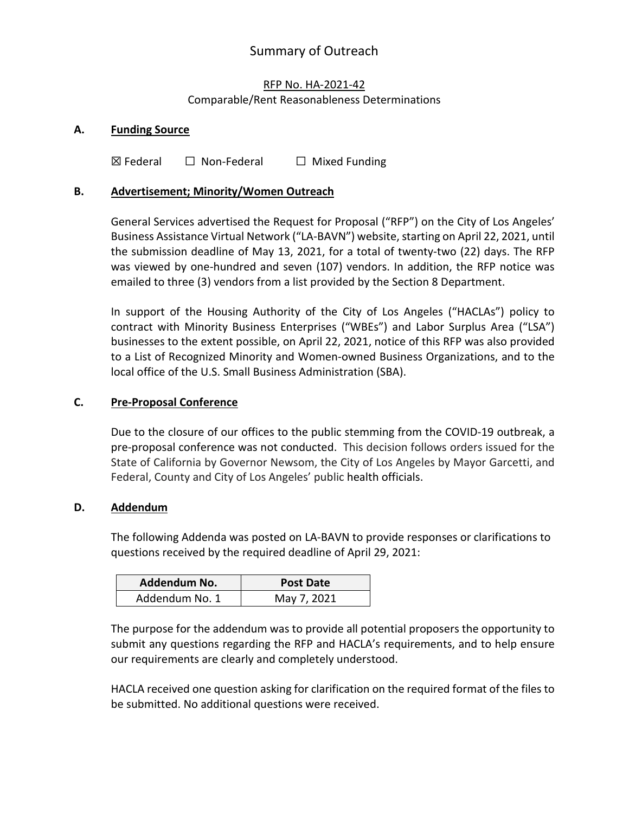# Summary of Outreach

# RFP No. HA-2021-42 Comparable/Rent Reasonableness Determinations

## **A. Funding Source**

 $\boxtimes$  Federal  $\Box$  Non-Federal  $\Box$  Mixed Funding

## **B. Advertisement; Minority/Women Outreach**

General Services advertised the Request for Proposal ("RFP") on the City of Los Angeles' Business Assistance Virtual Network ("LA-BAVN") website, starting on April 22, 2021, until the submission deadline of May 13, 2021, for a total of twenty-two (22) days. The RFP was viewed by one-hundred and seven (107) vendors. In addition, the RFP notice was emailed to three (3) vendors from a list provided by the Section 8 Department.

In support of the Housing Authority of the City of Los Angeles ("HACLAs") policy to contract with Minority Business Enterprises ("WBEs") and Labor Surplus Area ("LSA") businesses to the extent possible, on April 22, 2021, notice of this RFP was also provided to a List of Recognized Minority and Women-owned Business Organizations, and to the local office of the U.S. Small Business Administration (SBA).

#### **C. Pre-Proposal Conference**

Due to the closure of our offices to the public stemming from the COVID-19 outbreak, a pre-proposal conference was not conducted. This decision follows orders issued for the State of California by Governor Newsom, the City of Los Angeles by Mayor Garcetti, and Federal, County and City of Los Angeles' public health officials.

#### **D. Addendum**

The following Addenda was posted on LA-BAVN to provide responses or clarifications to questions received by the required deadline of April 29, 2021:

| Addendum No.   | Post Date   |
|----------------|-------------|
| Addendum No. 1 | May 7, 2021 |

The purpose for the addendum was to provide all potential proposers the opportunity to submit any questions regarding the RFP and HACLA's requirements, and to help ensure our requirements are clearly and completely understood.

HACLA received one question asking for clarification on the required format of the files to be submitted. No additional questions were received.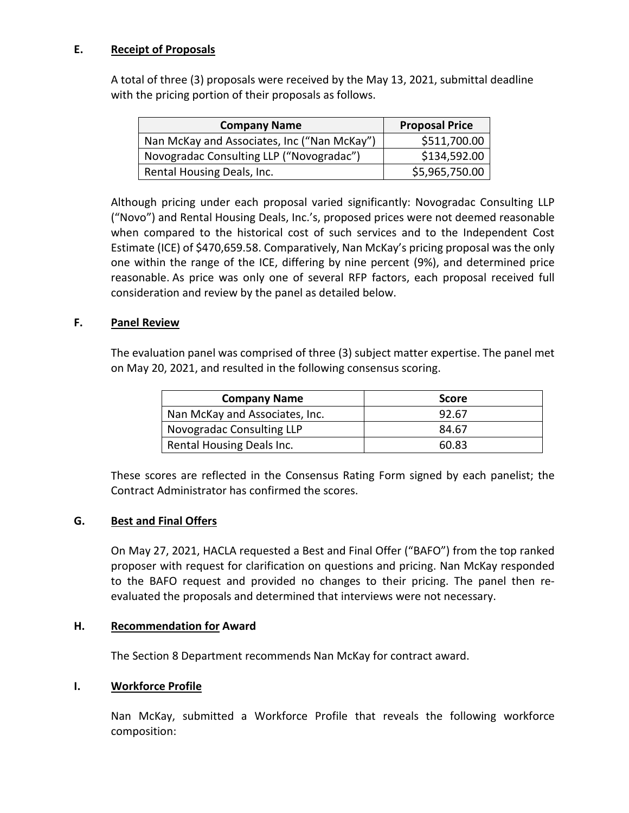# **E. Receipt of Proposals**

A total of three (3) proposals were received by the May 13, 2021, submittal deadline with the pricing portion of their proposals as follows.

| <b>Company Name</b>                         | <b>Proposal Price</b> |
|---------------------------------------------|-----------------------|
| Nan McKay and Associates, Inc ("Nan McKay") | \$511,700.00          |
| Novogradac Consulting LLP ("Novogradac")    | \$134,592.00          |
| Rental Housing Deals, Inc.                  | \$5,965,750.00        |

Although pricing under each proposal varied significantly: Novogradac Consulting LLP ("Novo") and Rental Housing Deals, Inc.'s, proposed prices were not deemed reasonable when compared to the historical cost of such services and to the Independent Cost Estimate (ICE) of \$470,659.58. Comparatively, Nan McKay's pricing proposal was the only one within the range of the ICE, differing by nine percent (9%), and determined price reasonable. As price was only one of several RFP factors, each proposal received full consideration and review by the panel as detailed below.

# **F. Panel Review**

The evaluation panel was comprised of three (3) subject matter expertise. The panel met on May 20, 2021, and resulted in the following consensus scoring.

| <b>Company Name</b>            | <b>Score</b> |
|--------------------------------|--------------|
| Nan McKay and Associates, Inc. | 92.67        |
| Novogradac Consulting LLP      | 84.67        |
| Rental Housing Deals Inc.      | 60.83        |

These scores are reflected in the Consensus Rating Form signed by each panelist; the Contract Administrator has confirmed the scores.

#### **G. Best and Final Offers**

On May 27, 2021, HACLA requested a Best and Final Offer ("BAFO") from the top ranked proposer with request for clarification on questions and pricing. Nan McKay responded to the BAFO request and provided no changes to their pricing. The panel then reevaluated the proposals and determined that interviews were not necessary.

#### **H. Recommendation for Award**

The Section 8 Department recommends Nan McKay for contract award.

#### **I. Workforce Profile**

Nan McKay, submitted a Workforce Profile that reveals the following workforce composition: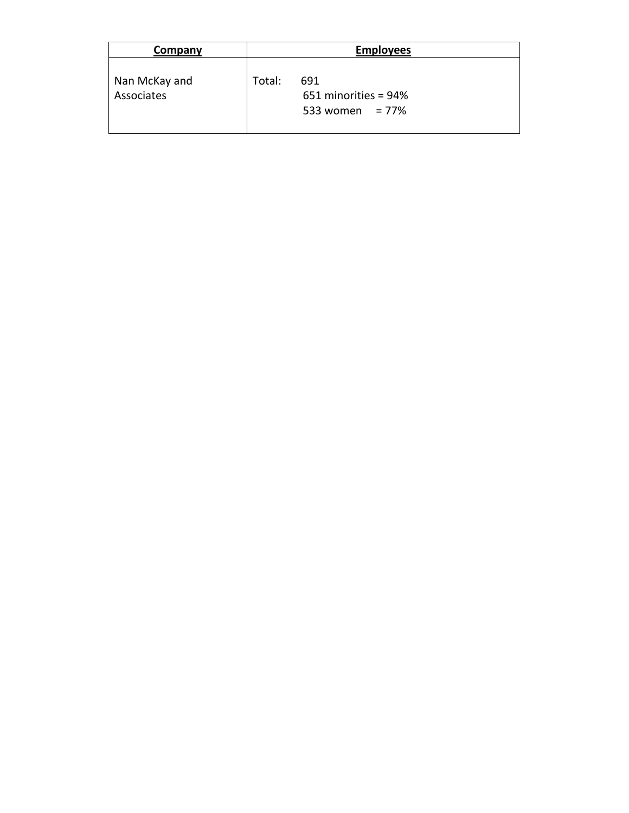| Company                     | <b>Employees</b> |                                                   |  |
|-----------------------------|------------------|---------------------------------------------------|--|
| Nan McKay and<br>Associates | Total:           | 691<br>651 minorities = 94%<br>533 women = $77\%$ |  |